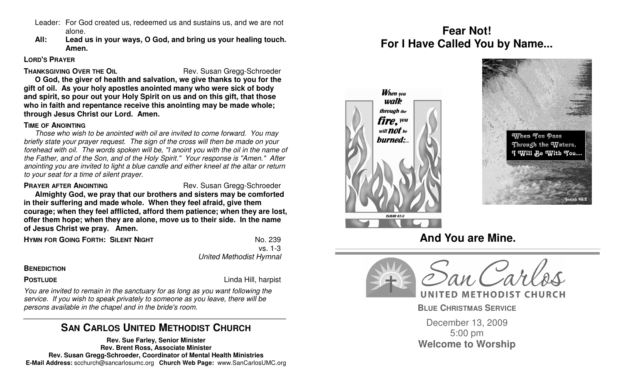- Leader: For God created us, redeemed us and sustains us, and we are not alone.
- **All: Lead us in your ways, O God, and bring us your healing touch. Amen.**

### **LORD'S PRAYER**

**THANKSGIVING OVER THE OIL** Rev. Susan Gregg-Schroeder

**O God, the giver of health and salvation, we give thanks to you for the gift of oil. As your holy apostles anointed many who were sick of body and spirit, so pour out your Holy Spirit on us and on this gift, that those who in faith and repentance receive this anointing may be made whole; through Jesus Christ our Lord. Amen.**

# **TIME OF ANOINTING**

Those who wish to be anointed with oil are invited to come forward. You may briefly state your prayer request. The sign of the cross will then be made on your forehead with oil. The words spoken will be, "I anoint you with the oil in the name of the Father, and of the Son, and of the Holy Spirit." Your response is "Amen." After anointing you are invited to light a blue candle and either kneel at the altar or return to your seat for a time of silent prayer.

### **PRAYER AFTER ANOINTING** Rev. Susan Gregg-Schroeder

 **Almighty God, we pray that our brothers and sisters may be comforted in their suffering and made whole. When they feel afraid, give them courage; when they feel afflicted, afford them patience; when they are lost, offer them hope; when they are alone, move us to their side. In the name of Jesus Christ we pray. Amen.**

**HYMN FOR GOING FORTH: SILENT NIGHT** NO. 239

 vs. 1-3 United Methodist Hymnal

# **BENEDICTION**

**POSTLUDE** Linda Hill, harpist

You are invited to remain in the sanctuary for as long as you want following the service. If you wish to speak privately to someone as you leave, there will be persons available in the chapel and in the bride's room.

# **SAN CARLOS UNITED METHODIST CHURCH**

**Rev. Sue Farley, Senior Minister Rev. Brent Ross, Associate Minister Rev. Susan Gregg-Schroeder, Coordinator of Mental Health Ministries E-Mail Address:** scchurch@sancarlosumc.org **Church Web Page:** www.SanCarlosUMC.org

# **Fear Not! For I Have Called You by Name...**









UNITED METHODIST CHURCH

**BLUE CHRISTMAS SERVICE**

December 13, 2009 5:00 pm **Welcome to Worship**